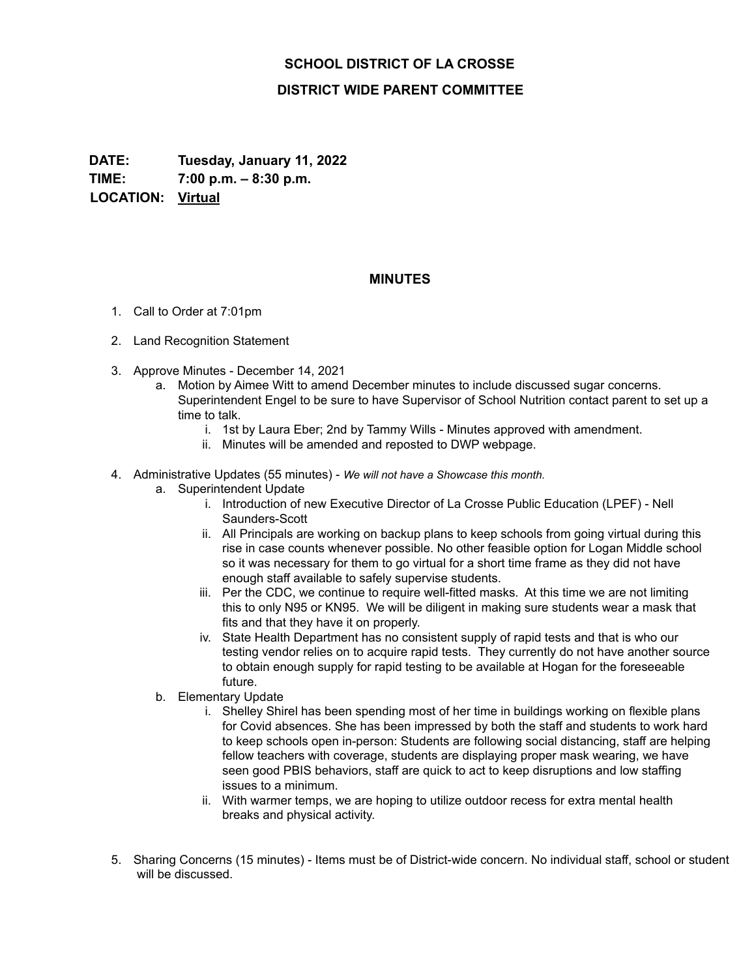## **SCHOOL DISTRICT OF LA CROSSE**

## **DISTRICT WIDE PARENT COMMITTEE**

**DATE: Tuesday, January 11, 2022 TIME: 7:00 p.m. – 8:30 p.m. LOCATION: Virtual**

## **MINUTES**

- 1. Call to Order at 7:01pm
- 2. Land Recognition Statement
- 3. Approve Minutes December 14, 2021
	- a. Motion by Aimee Witt to amend December minutes to include discussed sugar concerns. Superintendent Engel to be sure to have Supervisor of School Nutrition contact parent to set up a time to talk.
		- i. 1st by Laura Eber; 2nd by Tammy Wills Minutes approved with amendment.
		- ii. Minutes will be amended and reposted to DWP webpage.
- 4. Administrative Updates (55 minutes) *We will not have a Showcase this month.*
	- a. Superintendent Update
		- i. Introduction of new Executive Director of La Crosse Public Education (LPEF) Nell Saunders-Scott
		- ii. All Principals are working on backup plans to keep schools from going virtual during this rise in case counts whenever possible. No other feasible option for Logan Middle school so it was necessary for them to go virtual for a short time frame as they did not have enough staff available to safely supervise students.
		- iii. Per the CDC, we continue to require well-fitted masks. At this time we are not limiting this to only N95 or KN95. We will be diligent in making sure students wear a mask that fits and that they have it on properly.
		- iv. State Health Department has no consistent supply of rapid tests and that is who our testing vendor relies on to acquire rapid tests. They currently do not have another source to obtain enough supply for rapid testing to be available at Hogan for the foreseeable future.
	- b. Elementary Update
		- i. Shelley Shirel has been spending most of her time in buildings working on flexible plans for Covid absences. She has been impressed by both the staff and students to work hard to keep schools open in-person: Students are following social distancing, staff are helping fellow teachers with coverage, students are displaying proper mask wearing, we have seen good PBIS behaviors, staff are quick to act to keep disruptions and low staffing issues to a minimum.
		- ii. With warmer temps, we are hoping to utilize outdoor recess for extra mental health breaks and physical activity.
- 5. Sharing Concerns (15 minutes) Items must be of District-wide concern. No individual staff, school or student will be discussed.